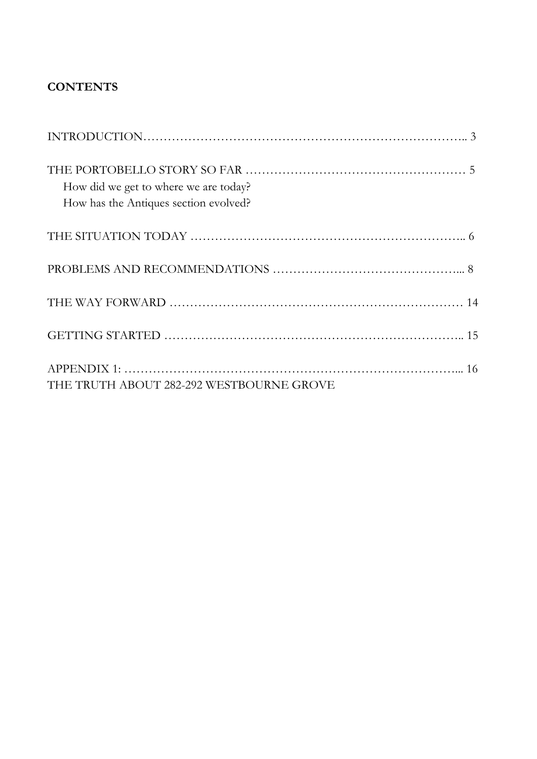# **CONTENTS**

| How did we get to where we are today?    |  |
|------------------------------------------|--|
| How has the Antiques section evolved?    |  |
|                                          |  |
|                                          |  |
|                                          |  |
|                                          |  |
| THE TRUTH ABOUT 282-292 WESTBOURNE GROVE |  |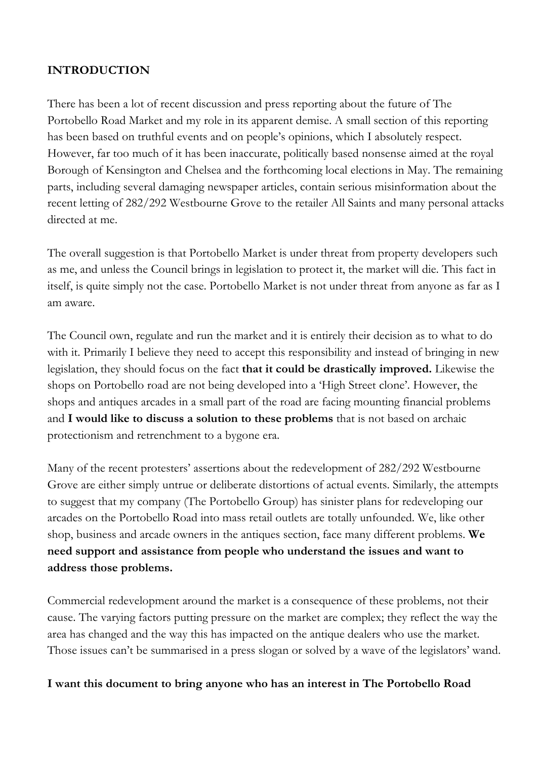### **INTRODUCTION**

There has been a lot of recent discussion and press reporting about the future of The Portobello Road Market and my role in its apparent demise. A small section of this reporting has been based on truthful events and on people's opinions, which I absolutely respect. However, far too much of it has been inaccurate, politically based nonsense aimed at the royal Borough of Kensington and Chelsea and the forthcoming local elections in May. The remaining parts, including several damaging newspaper articles, contain serious misinformation about the recent letting of 282/292 Westbourne Grove to the retailer All Saints and many personal attacks directed at me.

The overall suggestion is that Portobello Market is under threat from property developers such as me, and unless the Council brings in legislation to protect it, the market will die. This fact in itself, is quite simply not the case. Portobello Market is not under threat from anyone as far as I am aware.

The Council own, regulate and run the market and it is entirely their decision as to what to do with it. Primarily I believe they need to accept this responsibility and instead of bringing in new legislation, they should focus on the fact **that it could be drastically improved.** Likewise the shops on Portobello road are not being developed into a 'High Street clone'. However, the shops and antiques arcades in a small part of the road are facing mounting financial problems and **I would like to discuss a solution to these problems** that is not based on archaic protectionism and retrenchment to a bygone era.

Many of the recent protesters' assertions about the redevelopment of 282/292 Westbourne Grove are either simply untrue or deliberate distortions of actual events. Similarly, the attempts to suggest that my company (The Portobello Group) has sinister plans for redeveloping our arcades on the Portobello Road into mass retail outlets are totally unfounded. We, like other shop, business and arcade owners in the antiques section, face many different problems. **We need support and assistance from people who understand the issues and want to address those problems.** 

Commercial redevelopment around the market is a consequence of these problems, not their cause. The varying factors putting pressure on the market are complex; they reflect the way the area has changed and the way this has impacted on the antique dealers who use the market. Those issues can't be summarised in a press slogan or solved by a wave of the legislators' wand.

#### **I want this document to bring anyone who has an interest in The Portobello Road**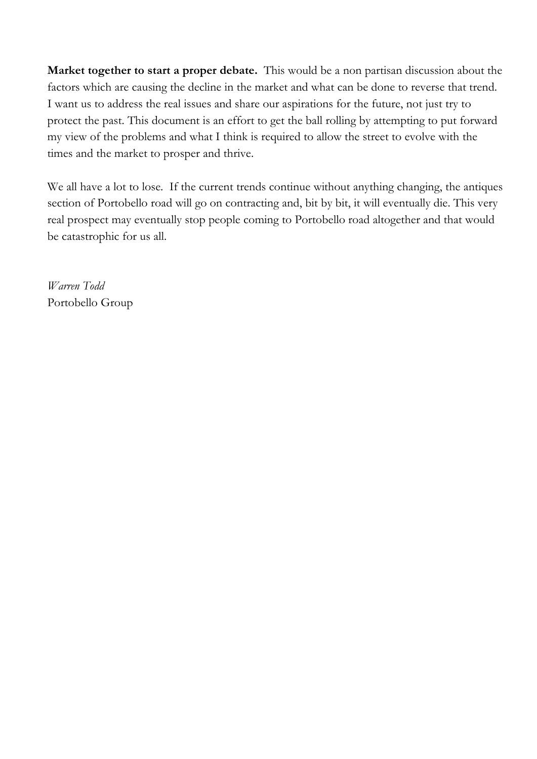**Market together to start a proper debate.** This would be a non partisan discussion about the factors which are causing the decline in the market and what can be done to reverse that trend. I want us to address the real issues and share our aspirations for the future, not just try to protect the past. This document is an effort to get the ball rolling by attempting to put forward my view of the problems and what I think is required to allow the street to evolve with the times and the market to prosper and thrive.

We all have a lot to lose. If the current trends continue without anything changing, the antiques section of Portobello road will go on contracting and, bit by bit, it will eventually die. This very real prospect may eventually stop people coming to Portobello road altogether and that would be catastrophic for us all.

*Warren Todd* Portobello Group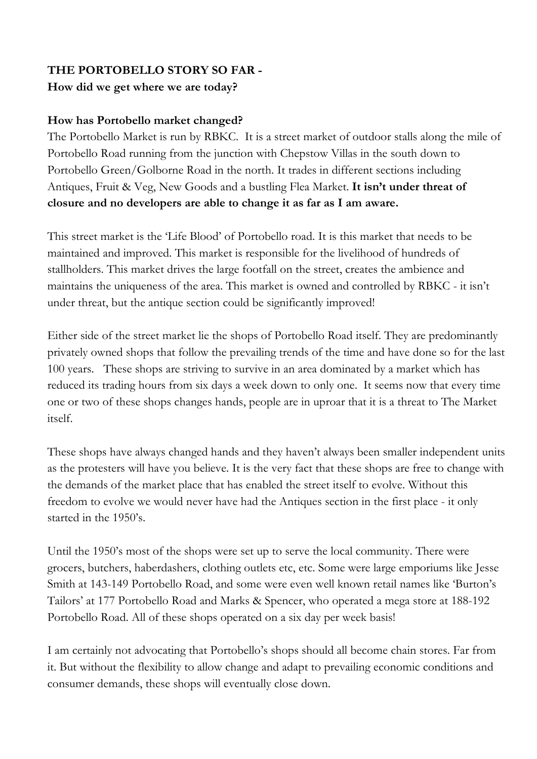# **THE PORTOBELLO STORY SO FAR - How did we get where we are today?**

### **How has Portobello market changed?**

The Portobello Market is run by RBKC. It is a street market of outdoor stalls along the mile of Portobello Road running from the junction with Chepstow Villas in the south down to Portobello Green/Golborne Road in the north. It trades in different sections including Antiques, Fruit & Veg, New Goods and a bustling Flea Market. **It isn't under threat of closure and no developers are able to change it as far as I am aware.** 

This street market is the 'Life Blood' of Portobello road. It is this market that needs to be maintained and improved. This market is responsible for the livelihood of hundreds of stallholders. This market drives the large footfall on the street, creates the ambience and maintains the uniqueness of the area. This market is owned and controlled by RBKC - it isn't under threat, but the antique section could be significantly improved!

Either side of the street market lie the shops of Portobello Road itself. They are predominantly privately owned shops that follow the prevailing trends of the time and have done so for the last 100 years. These shops are striving to survive in an area dominated by a market which has reduced its trading hours from six days a week down to only one. It seems now that every time one or two of these shops changes hands, people are in uproar that it is a threat to The Market itself.

These shops have always changed hands and they haven't always been smaller independent units as the protesters will have you believe. It is the very fact that these shops are free to change with the demands of the market place that has enabled the street itself to evolve. Without this freedom to evolve we would never have had the Antiques section in the first place - it only started in the 1950's.

Until the 1950's most of the shops were set up to serve the local community. There were grocers, butchers, haberdashers, clothing outlets etc, etc. Some were large emporiums like Jesse Smith at 143-149 Portobello Road, and some were even well known retail names like 'Burton's Tailors' at 177 Portobello Road and Marks & Spencer, who operated a mega store at 188-192 Portobello Road. All of these shops operated on a six day per week basis!

I am certainly not advocating that Portobello's shops should all become chain stores. Far from it. But without the flexibility to allow change and adapt to prevailing economic conditions and consumer demands, these shops will eventually close down.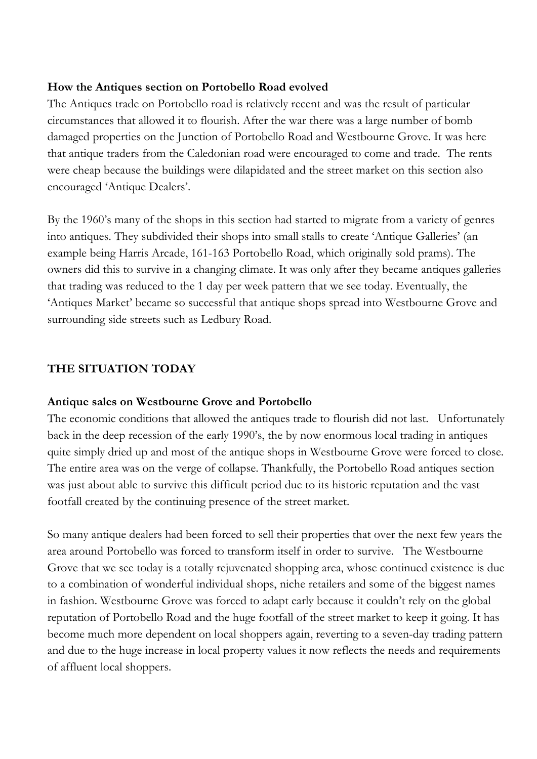#### **How the Antiques section on Portobello Road evolved**

The Antiques trade on Portobello road is relatively recent and was the result of particular circumstances that allowed it to flourish. After the war there was a large number of bomb damaged properties on the Junction of Portobello Road and Westbourne Grove. It was here that antique traders from the Caledonian road were encouraged to come and trade. The rents were cheap because the buildings were dilapidated and the street market on this section also encouraged 'Antique Dealers'.

By the 1960's many of the shops in this section had started to migrate from a variety of genres into antiques. They subdivided their shops into small stalls to create 'Antique Galleries' (an example being Harris Arcade, 161-163 Portobello Road, which originally sold prams). The owners did this to survive in a changing climate. It was only after they became antiques galleries that trading was reduced to the 1 day per week pattern that we see today. Eventually, the 'Antiques Market' became so successful that antique shops spread into Westbourne Grove and surrounding side streets such as Ledbury Road.

### **THE SITUATION TODAY**

#### **Antique sales on Westbourne Grove and Portobello**

The economic conditions that allowed the antiques trade to flourish did not last. Unfortunately back in the deep recession of the early 1990's, the by now enormous local trading in antiques quite simply dried up and most of the antique shops in Westbourne Grove were forced to close. The entire area was on the verge of collapse. Thankfully, the Portobello Road antiques section was just about able to survive this difficult period due to its historic reputation and the vast footfall created by the continuing presence of the street market.

So many antique dealers had been forced to sell their properties that over the next few years the area around Portobello was forced to transform itself in order to survive. The Westbourne Grove that we see today is a totally rejuvenated shopping area, whose continued existence is due to a combination of wonderful individual shops, niche retailers and some of the biggest names in fashion. Westbourne Grove was forced to adapt early because it couldn't rely on the global reputation of Portobello Road and the huge footfall of the street market to keep it going. It has become much more dependent on local shoppers again, reverting to a seven-day trading pattern and due to the huge increase in local property values it now reflects the needs and requirements of affluent local shoppers.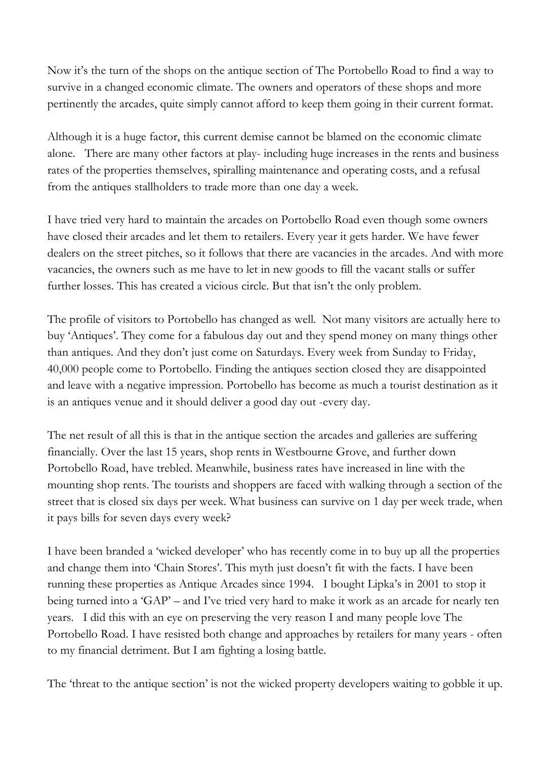Now it's the turn of the shops on the antique section of The Portobello Road to find a way to survive in a changed economic climate. The owners and operators of these shops and more pertinently the arcades, quite simply cannot afford to keep them going in their current format.

Although it is a huge factor, this current demise cannot be blamed on the economic climate alone. There are many other factors at play- including huge increases in the rents and business rates of the properties themselves, spiralling maintenance and operating costs, and a refusal from the antiques stallholders to trade more than one day a week.

I have tried very hard to maintain the arcades on Portobello Road even though some owners have closed their arcades and let them to retailers. Every year it gets harder. We have fewer dealers on the street pitches, so it follows that there are vacancies in the arcades. And with more vacancies, the owners such as me have to let in new goods to fill the vacant stalls or suffer further losses. This has created a vicious circle. But that isn't the only problem.

The profile of visitors to Portobello has changed as well. Not many visitors are actually here to buy 'Antiques'. They come for a fabulous day out and they spend money on many things other than antiques. And they don't just come on Saturdays. Every week from Sunday to Friday, 40,000 people come to Portobello. Finding the antiques section closed they are disappointed and leave with a negative impression. Portobello has become as much a tourist destination as it is an antiques venue and it should deliver a good day out -every day.

The net result of all this is that in the antique section the arcades and galleries are suffering financially. Over the last 15 years, shop rents in Westbourne Grove, and further down Portobello Road, have trebled. Meanwhile, business rates have increased in line with the mounting shop rents. The tourists and shoppers are faced with walking through a section of the street that is closed six days per week. What business can survive on 1 day per week trade, when it pays bills for seven days every week?

I have been branded a 'wicked developer' who has recently come in to buy up all the properties and change them into 'Chain Stores'. This myth just doesn't fit with the facts. I have been running these properties as Antique Arcades since 1994. I bought Lipka's in 2001 to stop it being turned into a 'GAP' – and I've tried very hard to make it work as an arcade for nearly ten years. I did this with an eye on preserving the very reason I and many people love The Portobello Road. I have resisted both change and approaches by retailers for many years - often to my financial detriment. But I am fighting a losing battle.

The 'threat to the antique section' is not the wicked property developers waiting to gobble it up.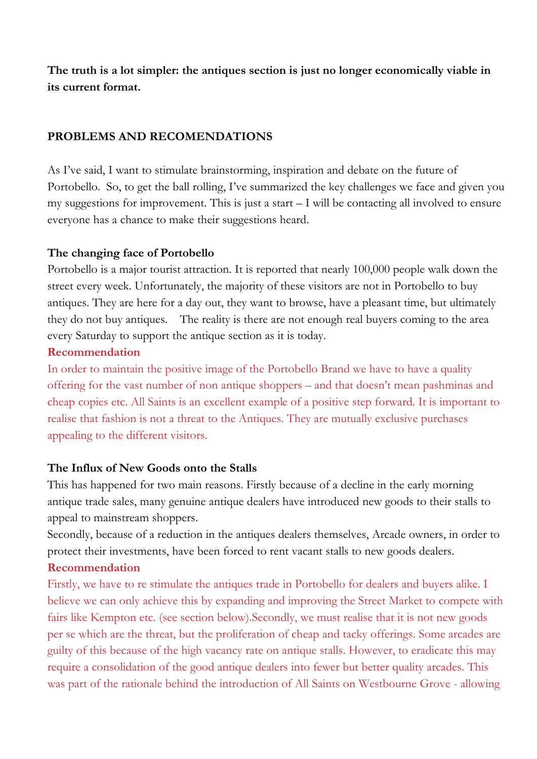**The truth is a lot simpler: the antiques section is just no longer economically viable in its current format.** 

#### **PROBLEMS AND RECOMENDATIONS**

As I've said, I want to stimulate brainstorming, inspiration and debate on the future of Portobello. So, to get the ball rolling, I've summarized the key challenges we face and given you my suggestions for improvement. This is just a start – I will be contacting all involved to ensure everyone has a chance to make their suggestions heard.

#### **The changing face of Portobello**

Portobello is a major tourist attraction. It is reported that nearly 100,000 people walk down the street every week. Unfortunately, the majority of these visitors are not in Portobello to buy antiques. They are here for a day out, they want to browse, have a pleasant time, but ultimately they do not buy antiques. The reality is there are not enough real buyers coming to the area every Saturday to support the antique section as it is today.

#### **Recommendation**

In order to maintain the positive image of the Portobello Brand we have to have a quality offering for the vast number of non antique shoppers – and that doesn't mean pashminas and cheap copies etc. All Saints is an excellent example of a positive step forward. It is important to realise that fashion is not a threat to the Antiques. They are mutually exclusive purchases appealing to the different visitors.

#### **The Influx of New Goods onto the Stalls**

This has happened for two main reasons. Firstly because of a decline in the early morning antique trade sales, many genuine antique dealers have introduced new goods to their stalls to appeal to mainstream shoppers.

Secondly, because of a reduction in the antiques dealers themselves, Arcade owners, in order to protect their investments, have been forced to rent vacant stalls to new goods dealers.

# **Recommendation**

Firstly, we have to re stimulate the antiques trade in Portobello for dealers and buyers alike. I believe we can only achieve this by expanding and improving the Street Market to compete with fairs like Kempton etc. (see section below).Secondly, we must realise that it is not new goods per se which are the threat, but the proliferation of cheap and tacky offerings. Some arcades are guilty of this because of the high vacancy rate on antique stalls. However, to eradicate this may require a consolidation of the good antique dealers into fewer but better quality arcades. This was part of the rationale behind the introduction of All Saints on Westbourne Grove - allowing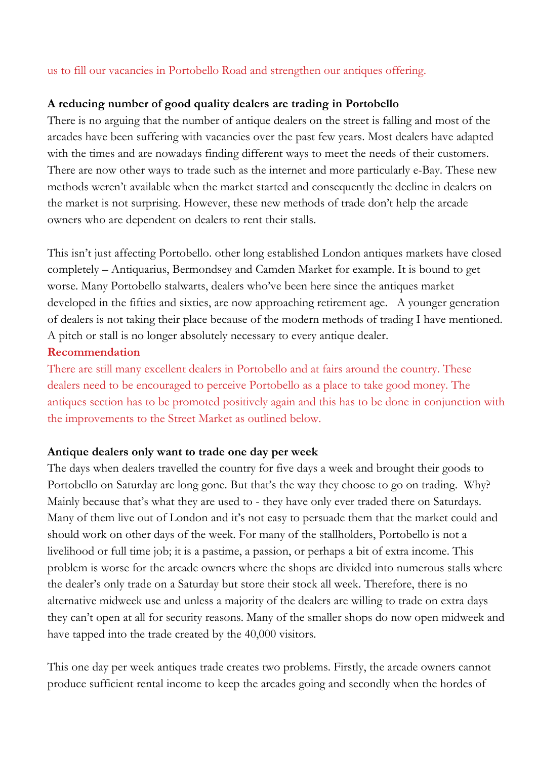#### us to fill our vacancies in Portobello Road and strengthen our antiques offering.

#### **A reducing number of good quality dealers are trading in Portobello**

There is no arguing that the number of antique dealers on the street is falling and most of the arcades have been suffering with vacancies over the past few years. Most dealers have adapted with the times and are nowadays finding different ways to meet the needs of their customers. There are now other ways to trade such as the internet and more particularly e-Bay. These new methods weren't available when the market started and consequently the decline in dealers on the market is not surprising. However, these new methods of trade don't help the arcade owners who are dependent on dealers to rent their stalls.

This isn't just affecting Portobello. other long established London antiques markets have closed completely – Antiquarius, Bermondsey and Camden Market for example. It is bound to get worse. Many Portobello stalwarts, dealers who've been here since the antiques market developed in the fifties and sixties, are now approaching retirement age. A younger generation of dealers is not taking their place because of the modern methods of trading I have mentioned. A pitch or stall is no longer absolutely necessary to every antique dealer.

#### **Recommendation**

There are still many excellent dealers in Portobello and at fairs around the country. These dealers need to be encouraged to perceive Portobello as a place to take good money. The antiques section has to be promoted positively again and this has to be done in conjunction with the improvements to the Street Market as outlined below.

#### **Antique dealers only want to trade one day per week**

The days when dealers travelled the country for five days a week and brought their goods to Portobello on Saturday are long gone. But that's the way they choose to go on trading. Why? Mainly because that's what they are used to - they have only ever traded there on Saturdays. Many of them live out of London and it's not easy to persuade them that the market could and should work on other days of the week. For many of the stallholders, Portobello is not a livelihood or full time job; it is a pastime, a passion, or perhaps a bit of extra income. This problem is worse for the arcade owners where the shops are divided into numerous stalls where the dealer's only trade on a Saturday but store their stock all week. Therefore, there is no alternative midweek use and unless a majority of the dealers are willing to trade on extra days they can't open at all for security reasons. Many of the smaller shops do now open midweek and have tapped into the trade created by the 40,000 visitors.

This one day per week antiques trade creates two problems. Firstly, the arcade owners cannot produce sufficient rental income to keep the arcades going and secondly when the hordes of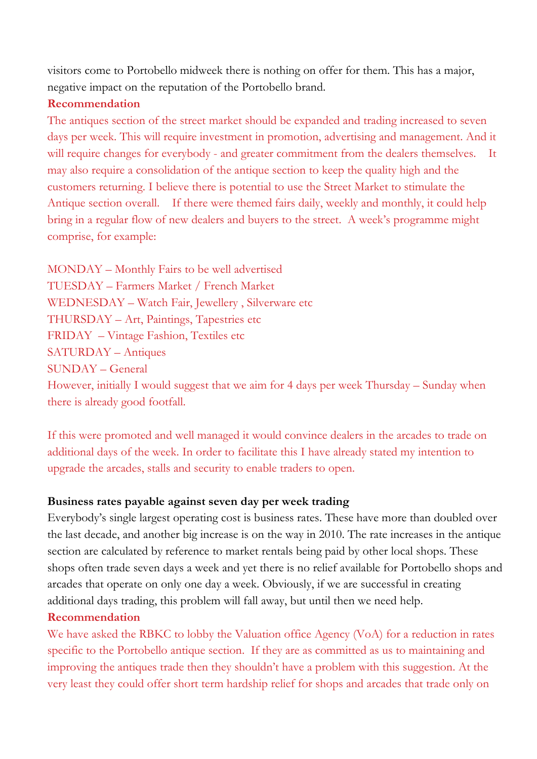visitors come to Portobello midweek there is nothing on offer for them. This has a major, negative impact on the reputation of the Portobello brand.

### **Recommendation**

The antiques section of the street market should be expanded and trading increased to seven days per week. This will require investment in promotion, advertising and management. And it will require changes for everybody - and greater commitment from the dealers themselves. It may also require a consolidation of the antique section to keep the quality high and the customers returning. I believe there is potential to use the Street Market to stimulate the Antique section overall. If there were themed fairs daily, weekly and monthly, it could help bring in a regular flow of new dealers and buyers to the street. A week's programme might comprise, for example:

MONDAY – Monthly Fairs to be well advertised TUESDAY – Farmers Market / French Market WEDNESDAY – Watch Fair, Jewellery , Silverware etc THURSDAY – Art, Paintings, Tapestries etc FRIDAY – Vintage Fashion, Textiles etc SATURDAY – Antiques SUNDAY – General However, initially I would suggest that we aim for 4 days per week Thursday – Sunday when there is already good footfall.

If this were promoted and well managed it would convince dealers in the arcades to trade on additional days of the week. In order to facilitate this I have already stated my intention to upgrade the arcades, stalls and security to enable traders to open.

### **Business rates payable against seven day per week trading**

Everybody's single largest operating cost is business rates. These have more than doubled over the last decade, and another big increase is on the way in 2010. The rate increases in the antique section are calculated by reference to market rentals being paid by other local shops. These shops often trade seven days a week and yet there is no relief available for Portobello shops and arcades that operate on only one day a week. Obviously, if we are successful in creating additional days trading, this problem will fall away, but until then we need help.

### **Recommendation**

We have asked the RBKC to lobby the Valuation office Agency (VoA) for a reduction in rates specific to the Portobello antique section. If they are as committed as us to maintaining and improving the antiques trade then they shouldn't have a problem with this suggestion. At the very least they could offer short term hardship relief for shops and arcades that trade only on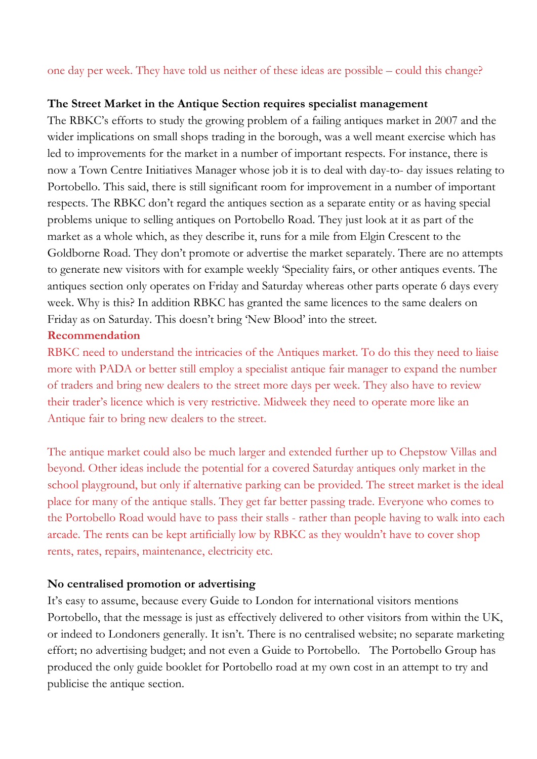one day per week. They have told us neither of these ideas are possible – could this change?

# **The Street Market in the Antique Section requires specialist management**

The RBKC's efforts to study the growing problem of a failing antiques market in 2007 and the wider implications on small shops trading in the borough, was a well meant exercise which has led to improvements for the market in a number of important respects. For instance, there is now a Town Centre Initiatives Manager whose job it is to deal with day-to- day issues relating to Portobello. This said, there is still significant room for improvement in a number of important respects. The RBKC don't regard the antiques section as a separate entity or as having special problems unique to selling antiques on Portobello Road. They just look at it as part of the market as a whole which, as they describe it, runs for a mile from Elgin Crescent to the Goldborne Road. They don't promote or advertise the market separately. There are no attempts to generate new visitors with for example weekly 'Speciality fairs, or other antiques events. The antiques section only operates on Friday and Saturday whereas other parts operate 6 days every week. Why is this? In addition RBKC has granted the same licences to the same dealers on Friday as on Saturday. This doesn't bring 'New Blood' into the street.

# **Recommendation**

RBKC need to understand the intricacies of the Antiques market. To do this they need to liaise more with PADA or better still employ a specialist antique fair manager to expand the number of traders and bring new dealers to the street more days per week. They also have to review their trader's licence which is very restrictive. Midweek they need to operate more like an Antique fair to bring new dealers to the street.

The antique market could also be much larger and extended further up to Chepstow Villas and beyond. Other ideas include the potential for a covered Saturday antiques only market in the school playground, but only if alternative parking can be provided. The street market is the ideal place for many of the antique stalls. They get far better passing trade. Everyone who comes to the Portobello Road would have to pass their stalls - rather than people having to walk into each arcade. The rents can be kept artificially low by RBKC as they wouldn't have to cover shop rents, rates, repairs, maintenance, electricity etc.

### **No centralised promotion or advertising**

It's easy to assume, because every Guide to London for international visitors mentions Portobello, that the message is just as effectively delivered to other visitors from within the UK, or indeed to Londoners generally. It isn't. There is no centralised website; no separate marketing effort; no advertising budget; and not even a Guide to Portobello. The Portobello Group has produced the only guide booklet for Portobello road at my own cost in an attempt to try and publicise the antique section.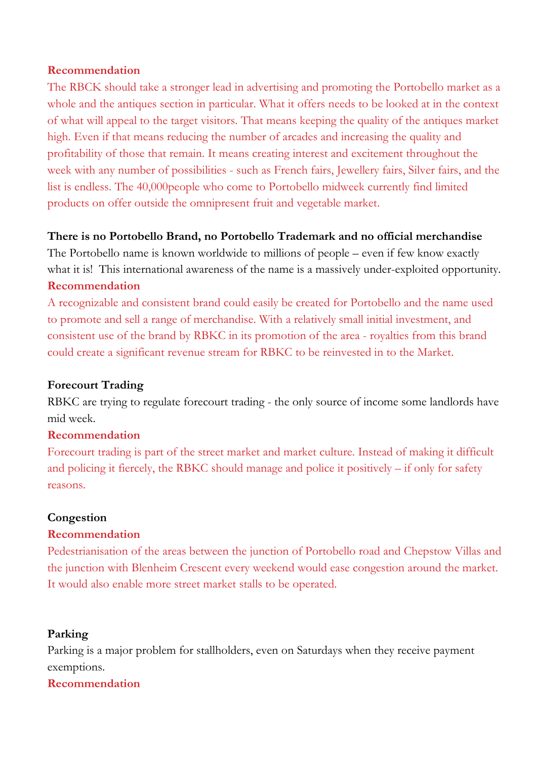#### **Recommendation**

The RBCK should take a stronger lead in advertising and promoting the Portobello market as a whole and the antiques section in particular. What it offers needs to be looked at in the context of what will appeal to the target visitors. That means keeping the quality of the antiques market high. Even if that means reducing the number of arcades and increasing the quality and profitability of those that remain. It means creating interest and excitement throughout the week with any number of possibilities - such as French fairs, Jewellery fairs, Silver fairs, and the list is endless. The 40,000people who come to Portobello midweek currently find limited products on offer outside the omnipresent fruit and vegetable market.

#### **There is no Portobello Brand, no Portobello Trademark and no official merchandise**

The Portobello name is known worldwide to millions of people – even if few know exactly what it is! This international awareness of the name is a massively under-exploited opportunity. **Recommendation** 

A recognizable and consistent brand could easily be created for Portobello and the name used to promote and sell a range of merchandise. With a relatively small initial investment, and consistent use of the brand by RBKC in its promotion of the area - royalties from this brand could create a significant revenue stream for RBKC to be reinvested in to the Market.

### **Forecourt Trading**

RBKC are trying to regulate forecourt trading - the only source of income some landlords have mid week.

#### **Recommendation**

Forecourt trading is part of the street market and market culture. Instead of making it difficult and policing it fiercely, the RBKC should manage and police it positively – if only for safety reasons.

#### **Congestion**

#### **Recommendation**

Pedestrianisation of the areas between the junction of Portobello road and Chepstow Villas and the junction with Blenheim Crescent every weekend would ease congestion around the market. It would also enable more street market stalls to be operated.

### **Parking**

Parking is a major problem for stallholders, even on Saturdays when they receive payment exemptions.

#### **Recommendation**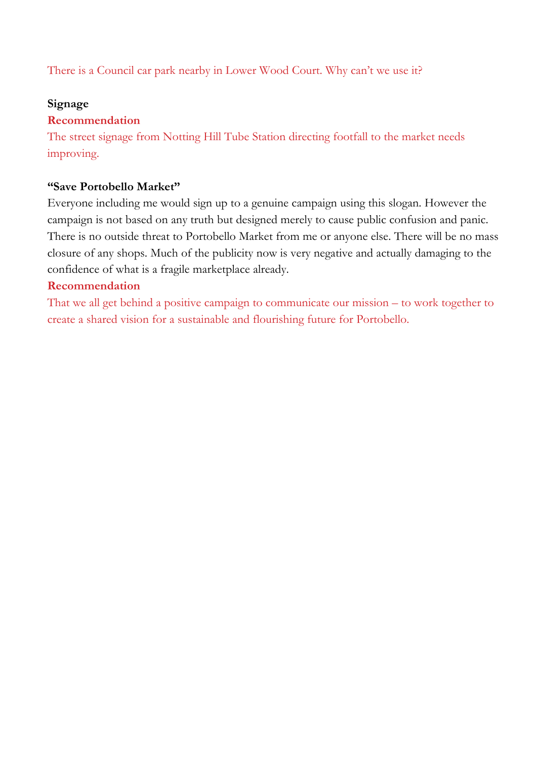There is a Council car park nearby in Lower Wood Court. Why can't we use it?

#### **Signage**

### **Recommendation**

The street signage from Notting Hill Tube Station directing footfall to the market needs improving.

### **"Save Portobello Market"**

Everyone including me would sign up to a genuine campaign using this slogan. However the campaign is not based on any truth but designed merely to cause public confusion and panic. There is no outside threat to Portobello Market from me or anyone else. There will be no mass closure of any shops. Much of the publicity now is very negative and actually damaging to the confidence of what is a fragile marketplace already.

#### **Recommendation**

That we all get behind a positive campaign to communicate our mission – to work together to create a shared vision for a sustainable and flourishing future for Portobello.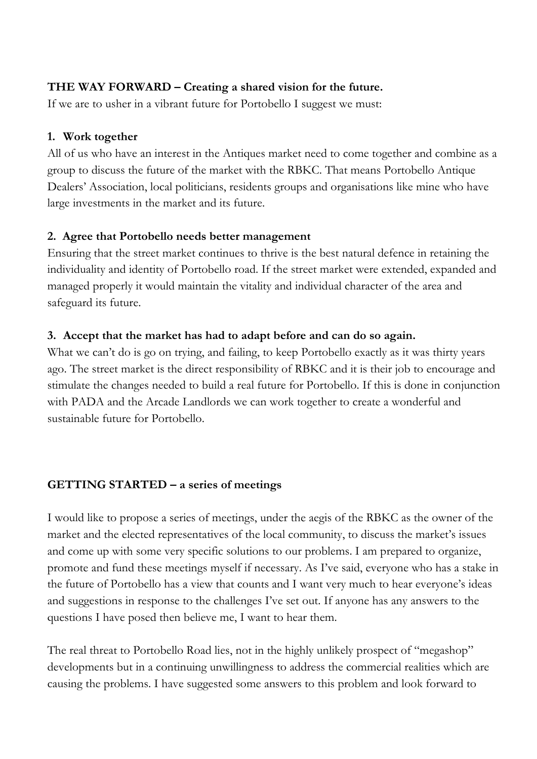# **THE WAY FORWARD – Creating a shared vision for the future.**

If we are to usher in a vibrant future for Portobello I suggest we must:

#### **1. Work together**

All of us who have an interest in the Antiques market need to come together and combine as a group to discuss the future of the market with the RBKC. That means Portobello Antique Dealers' Association, local politicians, residents groups and organisations like mine who have large investments in the market and its future.

### **2. Agree that Portobello needs better management**

Ensuring that the street market continues to thrive is the best natural defence in retaining the individuality and identity of Portobello road. If the street market were extended, expanded and managed properly it would maintain the vitality and individual character of the area and safeguard its future.

# **3. Accept that the market has had to adapt before and can do so again.**

What we can't do is go on trying, and failing, to keep Portobello exactly as it was thirty years ago. The street market is the direct responsibility of RBKC and it is their job to encourage and stimulate the changes needed to build a real future for Portobello. If this is done in conjunction with PADA and the Arcade Landlords we can work together to create a wonderful and sustainable future for Portobello.

# **GETTING STARTED – a series of meetings**

I would like to propose a series of meetings, under the aegis of the RBKC as the owner of the market and the elected representatives of the local community, to discuss the market's issues and come up with some very specific solutions to our problems. I am prepared to organize, promote and fund these meetings myself if necessary. As I've said, everyone who has a stake in the future of Portobello has a view that counts and I want very much to hear everyone's ideas and suggestions in response to the challenges I've set out. If anyone has any answers to the questions I have posed then believe me, I want to hear them.

The real threat to Portobello Road lies, not in the highly unlikely prospect of "megashop" developments but in a continuing unwillingness to address the commercial realities which are causing the problems. I have suggested some answers to this problem and look forward to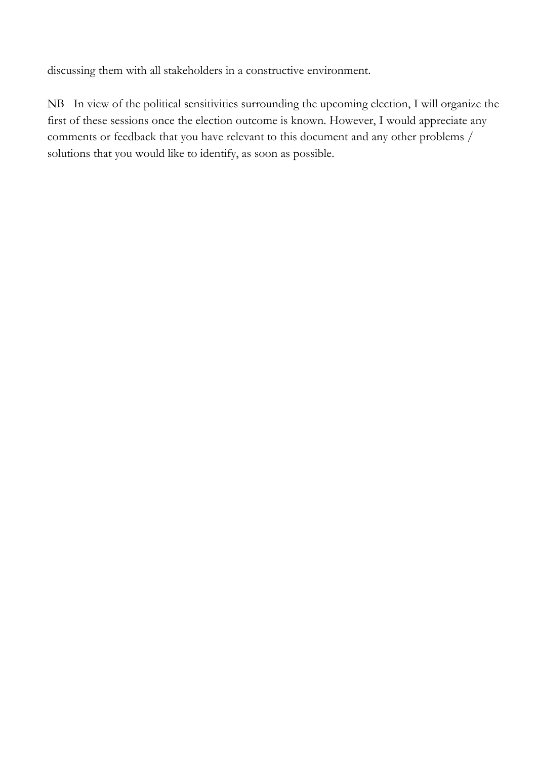discussing them with all stakeholders in a constructive environment.

NB In view of the political sensitivities surrounding the upcoming election, I will organize the first of these sessions once the election outcome is known. However, I would appreciate any comments or feedback that you have relevant to this document and any other problems / solutions that you would like to identify, as soon as possible.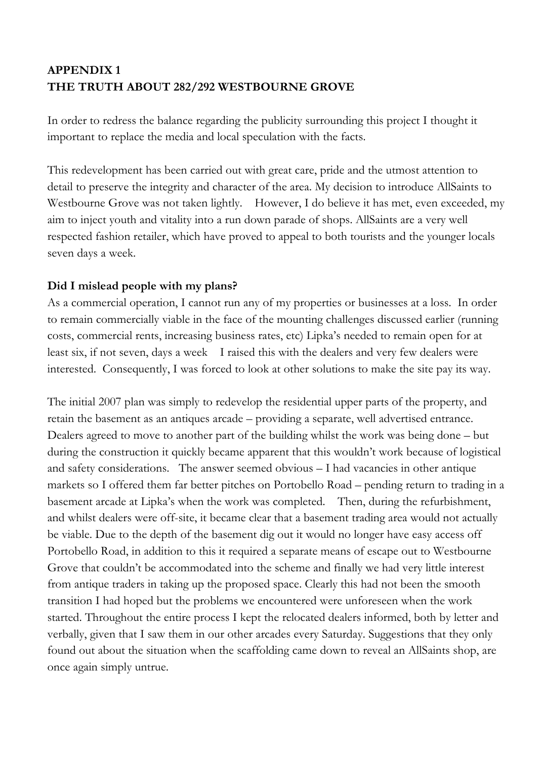# **APPENDIX 1 THE TRUTH ABOUT 282/292 WESTBOURNE GROVE**

In order to redress the balance regarding the publicity surrounding this project I thought it important to replace the media and local speculation with the facts.

This redevelopment has been carried out with great care, pride and the utmost attention to detail to preserve the integrity and character of the area. My decision to introduce AllSaints to Westbourne Grove was not taken lightly. However, I do believe it has met, even exceeded, my aim to inject youth and vitality into a run down parade of shops. AllSaints are a very well respected fashion retailer, which have proved to appeal to both tourists and the younger locals seven days a week.

# **Did I mislead people with my plans?**

As a commercial operation, I cannot run any of my properties or businesses at a loss. In order to remain commercially viable in the face of the mounting challenges discussed earlier (running costs, commercial rents, increasing business rates, etc) Lipka's needed to remain open for at least six, if not seven, days a week I raised this with the dealers and very few dealers were interested. Consequently, I was forced to look at other solutions to make the site pay its way.

The initial 2007 plan was simply to redevelop the residential upper parts of the property, and retain the basement as an antiques arcade – providing a separate, well advertised entrance. Dealers agreed to move to another part of the building whilst the work was being done – but during the construction it quickly became apparent that this wouldn't work because of logistical and safety considerations. The answer seemed obvious – I had vacancies in other antique markets so I offered them far better pitches on Portobello Road – pending return to trading in a basement arcade at Lipka's when the work was completed. Then, during the refurbishment, and whilst dealers were off-site, it became clear that a basement trading area would not actually be viable. Due to the depth of the basement dig out it would no longer have easy access off Portobello Road, in addition to this it required a separate means of escape out to Westbourne Grove that couldn't be accommodated into the scheme and finally we had very little interest from antique traders in taking up the proposed space. Clearly this had not been the smooth transition I had hoped but the problems we encountered were unforeseen when the work started. Throughout the entire process I kept the relocated dealers informed, both by letter and verbally, given that I saw them in our other arcades every Saturday. Suggestions that they only found out about the situation when the scaffolding came down to reveal an AllSaints shop, are once again simply untrue.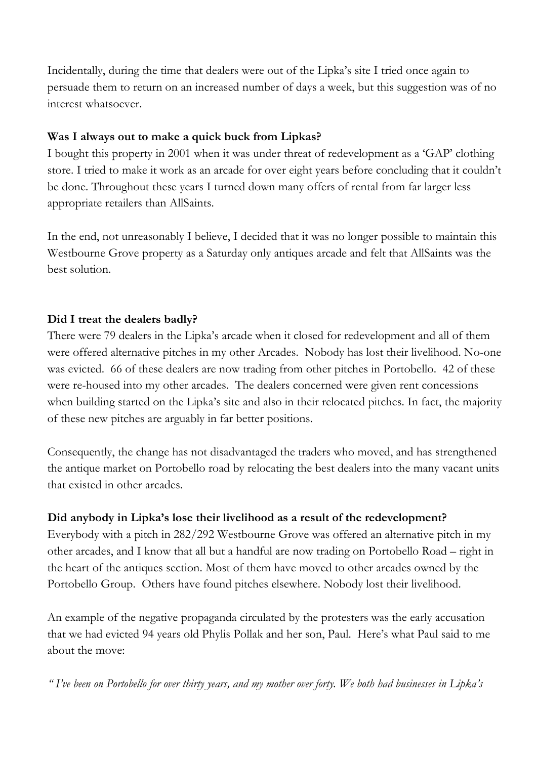Incidentally, during the time that dealers were out of the Lipka's site I tried once again to persuade them to return on an increased number of days a week, but this suggestion was of no interest whatsoever.

### **Was I always out to make a quick buck from Lipkas?**

I bought this property in 2001 when it was under threat of redevelopment as a 'GAP' clothing store. I tried to make it work as an arcade for over eight years before concluding that it couldn't be done. Throughout these years I turned down many offers of rental from far larger less appropriate retailers than AllSaints.

In the end, not unreasonably I believe, I decided that it was no longer possible to maintain this Westbourne Grove property as a Saturday only antiques arcade and felt that AllSaints was the best solution.

### **Did I treat the dealers badly?**

There were 79 dealers in the Lipka's arcade when it closed for redevelopment and all of them were offered alternative pitches in my other Arcades. Nobody has lost their livelihood. No-one was evicted. 66 of these dealers are now trading from other pitches in Portobello. 42 of these were re-housed into my other arcades. The dealers concerned were given rent concessions when building started on the Lipka's site and also in their relocated pitches. In fact, the majority of these new pitches are arguably in far better positions.

Consequently, the change has not disadvantaged the traders who moved, and has strengthened the antique market on Portobello road by relocating the best dealers into the many vacant units that existed in other arcades.

# **Did anybody in Lipka's lose their livelihood as a result of the redevelopment?**

Everybody with a pitch in 282/292 Westbourne Grove was offered an alternative pitch in my other arcades, and I know that all but a handful are now trading on Portobello Road – right in the heart of the antiques section. Most of them have moved to other arcades owned by the Portobello Group. Others have found pitches elsewhere. Nobody lost their livelihood.

An example of the negative propaganda circulated by the protesters was the early accusation that we had evicted 94 years old Phylis Pollak and her son, Paul. Here's what Paul said to me about the move:

*" I've been on Portobello for over thirty years, and my mother over forty. We both had businesses in Lipka's*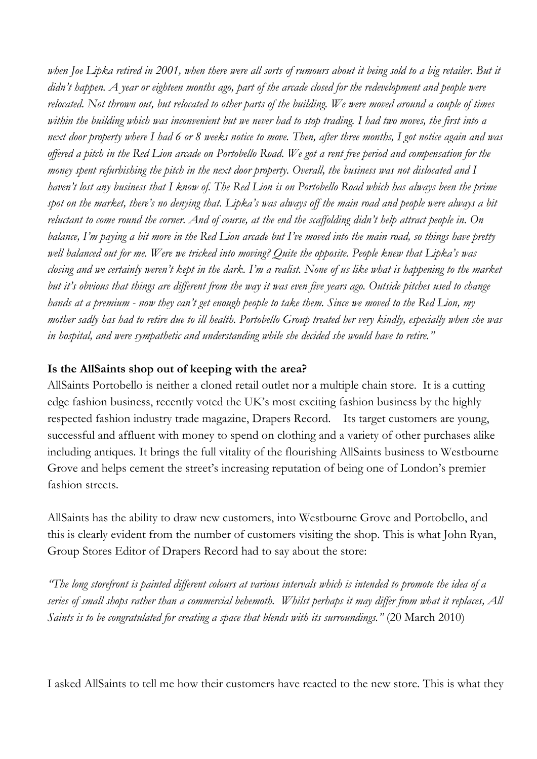when Joe Lipka retired in 2001, when there were all sorts of rumours about it being sold to a big retailer. But it *didn't happen. A year or eighteen months ago, part of the arcade closed for the redevelopment and people were relocated. Not thrown out, but relocated to other parts of the building. We were moved around a couple of times within the building which was inconvenient but we never had to stop trading. I had two moves, the first into a next door property where I had 6 or 8 weeks notice to move. Then, after three months, I got notice again and was offered a pitch in the Red Lion arcade on Portobello Road. We got a rent free period and compensation for the money spent refurbishing the pitch in the next door property. Overall, the business was not dislocated and I haven't lost any business that I know of. The Red Lion is on Portobello Road which has always been the prime spot on the market, there's no denying that. Lipka's was always off the main road and people were always a bit reluctant to come round the corner. And of course, at the end the scaffolding didn't help attract people in. On balance, I'm paying a bit more in the Red Lion arcade but I've moved into the main road, so things have pretty well balanced out for me. Were we tricked into moving? Quite the opposite. People knew that Lipka's was closing and we certainly weren't kept in the dark. I'm a realist. None of us like what is happening to the market but it's obvious that things are different from the way it was even five years ago. Outside pitches used to change hands at a premium - now they can't get enough people to take them. Since we moved to the Red Lion, my mother sadly has had to retire due to ill health. Portobello Group treated her very kindly, especially when she was in hospital, and were sympathetic and understanding while she decided she would have to retire."* 

### **Is the AllSaints shop out of keeping with the area?**

AllSaints Portobello is neither a cloned retail outlet nor a multiple chain store. It is a cutting edge fashion business, recently voted the UK's most exciting fashion business by the highly respected fashion industry trade magazine, Drapers Record. Its target customers are young, successful and affluent with money to spend on clothing and a variety of other purchases alike including antiques. It brings the full vitality of the flourishing AllSaints business to Westbourne Grove and helps cement the street's increasing reputation of being one of London's premier fashion streets.

AllSaints has the ability to draw new customers, into Westbourne Grove and Portobello, and this is clearly evident from the number of customers visiting the shop. This is what John Ryan, Group Stores Editor of Drapers Record had to say about the store:

*"The long storefront is painted different colours at various intervals which is intended to promote the idea of a series of small shops rather than a commercial behemoth. Whilst perhaps it may differ from what it replaces, All Saints is to be congratulated for creating a space that blends with its surroundings."* (20 March 2010)

I asked AllSaints to tell me how their customers have reacted to the new store. This is what they